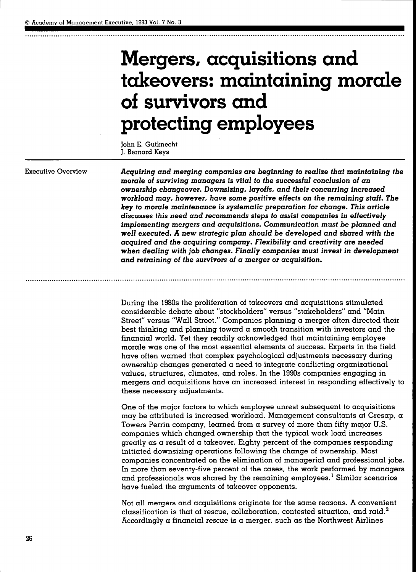# **Mergers, acquisitions and takeovers: maintaining morale of survivors and protecting employees**

John E. Gutknecht J. Bernard Keys

**Executive Overview Acquiring** *and merging companies are beginning to realize that maintaining the morale of surviving managers* **is** *vital to the successful conclusion of an ownership changeover. Downsizing, layoffs, and their concurring increased workload may, however, have some positive effects on the remaining staff. The key to morale maintenance is systematic preparation for change. This article discusses this need and recommends steps to assist companies in effectively implementing mergers and* **acquisitions. Communication must be** *planned and well executed. A new strategic plan should be developed and shared with the* **acquired** *and the acquiring company. Flexibility and creativity are needed when dealing with job changes. Finally companies must invest in development and retraining of the* **survivors of a** *merger or acquisition.*

> During the 1980s the proliferation of takeovers and acquisitions stimulated considerable debate about "stockholders" versus "stakeholders" and "Main Street" versus "Wall Street." Companies planning a merger often directed their best thinking and planning toward a smooth transition with investors and the financial world. Yet they readily acknowledged that maintaining employee morale was one of the most essential elements of success. Experts in the field have often warned that complex psychological adjustments necessary during ownership changes generated a need to integrate conflicting organizational values, structures, climates, and roles. In the 1990s companies engaging in mergers and acquisitions have an increased interest in responding effectively to these necessary adjustments.

> One of the major factors to which employee unrest subsequent to acquisitions may be attributed is increased workload. Management consultants at Cresap, a Towers Perrin company, learned from a survey of more than fifty major U.S. companies which changed ownership that the typical work load increases greatly as a result of a takeover. Eighty percent of the companies responding initiated downsizing operations following the change of ownership. Most companies concentrated on the elimination of managerial and professional jobs. In more than seventy-five percent of the cases, the work performed by managers and professionals was shared by the remaining employees.<sup>1</sup> Similar scenarios have fueled the arguments of takeover opponents.

Not all mergers and acquisitions originate for the same reasons. A convenient classification is that of rescue, collaboration, contested situation, and raid. $^2$ Accordingly a financial rescue is a merger, such as the Northwest Airlines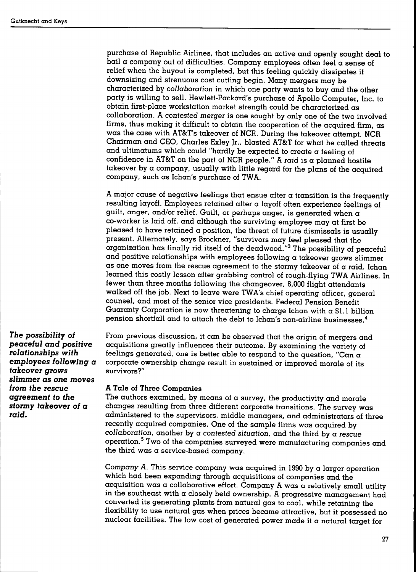purchase of Republic Airlines, that includes an active and openly sought deal to bail a company out of difficulties. Company employees often feel a sense of relief when the buyout is completed, but this feeling quickly dissipates if downsizing and strenuous cost cutting begin. Many mergers may be characterized by collaboration in which one party wants to buy and the other party is willing to sell. Hewlett-Packard's purchase of Apollo Computer, Inc. to obtain first-place workstation market strength could be characterized as collaboration. A confessed *mergei* is one sought by only one of the two involved firms, thus making it difficult to obtain the cooperation of the acquired firm, as was the case with AT&T's takeover of NCR. During the takeover attempt, NCR Chairman and CEO, Charles Exley Jr., blasted AT&T for what he called threats and ultimatums which could "hardly be expected to create a feeling of confidence in AT&T on the part of NCR people." A raid is a planned hostile takeover by  $\alpha$  company, usually with little regard for the plans of the acquired company, such as Ichan's purchase of TWA.

A major cause of negative feelings that ensue after a transition is the frequently resulting layoff. Employees retained after a layoff often experience feelings of guilt, anger, and/or relief. Guilt, or perhaps anger, is generated when  $\alpha$ co-worker is laid off, and although the surviving employee may at first be pleased to have retained a position, the threat of future dismissals is usually present. Alternately, says Brockner, "survivors may feel pleased that the organization has finally rid itself of the deadwood."<sup>3</sup> The possibility of peaceful and positive relationships with employees following a takeover grows slimmer as one moves from the rescue agreement to the stormy takeover of a raid. Ichan learned this costly lesson after grabbing control of rough-flying TWA Airlines. In fewer than three months following the changeover, 6,000 flight attendants walked off the job. Next to leave were TWA's chief operating officer, general counsel, and most of the senior vice presidents. Federal Pension Benefit Guaranty Corporation is now threatening to charge Ichan with  $\alpha$  \$1.1 billion pension shortfall and to attach the debt to Ichan's non-airline businesses.<sup>4</sup>

*The possibility of peaceful and positive relationships with employees following a takeover grows slimmer as one moves from the* **rescue** *agreement to the stormy takeover of a raid.*

From previous discussion, it can be observed that the origin of mergers and acquisitions greatly influences their outcome. By examining the variety of feelings generated, one is better able to respond to the question, "Can  $\alpha$ corporate ownership change result in sustained or improved morale of its survivors?"

### **A Tale of Three Companies**

The authors examined, by means of a survey, the productivity and morale changes resulting from three different corporate transitions. The survey was administered to the supervisors, middle managers, and administrators of three recently acquired companies. One of the sample firms was acquired by collaboration, another by a contested situation, and the third by a rescue operation.<sup>5</sup> Two of the companies surveyed were manufacturing companies and the third was a service-based company.

*Company A.* This service company was acquired in 1990 by a larger operation which had been expanding through acquisitions of companies and the acquisition was a collaborative effort. Company  $A$  was a relatively small utility in the southeast with a closely held ownership. A progressive management had converted its generating plants from natural gas to coal, while retaining the flexibility to use natural gas when prices became attractive, but it possessed no nuclear facilities. The low cost of generated power made it a natural target for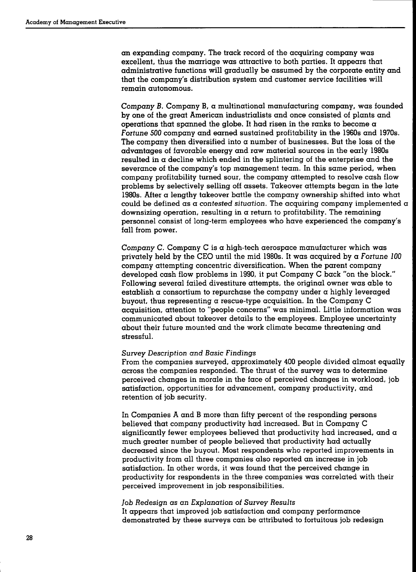an expanding company. The track record of the acquiring company was excellent, thus the marriage was attractive to both parties. It appears that administrative functions will gradually be assumed by the corporate entity and that the company's distribution system and customer service facilities will remain autonomous.

*Company B.* Company B, a multinational manufacturing company, was founded by one of the great American industrialists and once consisted of plants and operations that spanned the globe. It had risen in the ranks to become  $\alpha$ *Fortune 500* company and earned sustained profitability in the 1960s and 1970s. The company then diversified into  $\alpha$  number of businesses. But the loss of the advantages of favorable energy and raw material sources in the early 1980s resulted in  $\alpha$  decline which ended in the splintering of the enterprise and the severance of the company's top management team. In this same period, when company profitability turned sour, the company attempted to resolve cash flow problems by selectively selling off assets. Takeover attempts began in the late 1980s. After a lengthy takeover battle the company ownership shifted into what could be defined as a contested situation. The acquiring company implemented a downsizing operation, resulting in  $\alpha$  return to profitability. The remaining personnel consist of long-term employees who have experienced the company's fall from power.

Company C. Company C is a high-tech aerospace manufacturer which was privately held by the CEO until the mid 1980s. It was acquired by a Forfune *100* company attempting concentric diversification. When the parent company developed cash flow problems in 1990, it put Company C back "on the block." Following several failed divestiture attempts, the original owner was able to establish a consortium to repurchase the company under a highly leveraged buyout, thus representing  $\alpha$  rescue-type acquisition. In the Company C acquisition, attention to "people concerns" was minimal. Little information was communicated about takeover details to the employees. Employee uncertainty about their future mounted and the work climate became threatening and stressful.

#### Survey Description and *Basic Findings*

From the companies surveyed, approximately 400 people divided almost equally across the companies responded. The thrust of the survey was to determine perceived changes in morale in the face of perceived changes in workload, job satisfaction, opportunities for advancement, company productivity, and retention of job security.

In Companies A and B more than fifty percent of the responding persons believed that company productivity had increased. But in Company C significantly fewer employees believed that productivity had increased, and  $\alpha$ much greater number of people believed that productivity had actually decreased since the buyout. Most respondents who reported improvements in productivity from all three companies also reported an increase in job satisfaction. In other words, it was found that the perceived change in productivity for respondents in the three companies was correlated with their perceived improvement in job responsibilities.

#### *Job Redesign as* an Expianation *of Survey Results*

It appears that improved job satisfaction and company performance demonstrated by these surveys can be attributed to fortuitous job redesign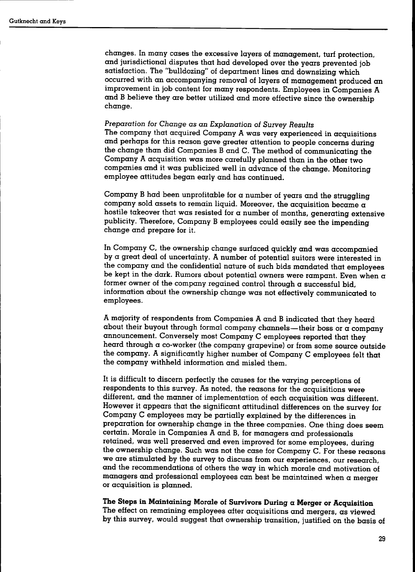changes. In many cases the excessive layers of management, turf protection, and jurisdictional disputes that had developed over the years prevented job satisfaction. The "bulldozing" of department lines and downsizing which occurred with an accompanying removal of layers of management produced an improvement in job content for many respondents. Employees in Companies A and B believe they are better utilized and more effective since the ownership change.

*Preparation for Change as an Explanation of Survey Results* The company that acquired Company A was very experienced in acquisitions and perhaps for this reason gave greater attention to people concerns during the change than did Companies B and C. The method of communicating the Company A acquisition was more carefully planned than in the other two companies and it was publicized well in advance of the change. Monitoring employee attitudes began early and has continued.

Company B had been unprofitable for  $\alpha$  number of years and the struggling company sold assets to remain liquid. Moreover, the acquisition became  $\alpha$ hostile takeover that was resisted for a number of months, generating extensive publicity. Therefore, Company B employees could easily see the impending change and prepare for it.

In Company C, the ownership change surfaced quickly and was accompanied by a great deal of uncertainty. A number of potential suitors were interested in the company and the confidential nature of such bids mandated that employees be kept in the dark. Rumors about potential owners were rampant. Even when  $\alpha$ former owner of the company regained control through  $\alpha$  successful bid, information about the ownership change was not effectively communicated to employees.

A majority of respondents from Companies A and B indicated that they heard about their buyout through formal company channels—their boss or a company announcement. Conversely most Company C employees reported that they heard through a co-worker (the company grapevine) or from some source outside the company. A significantly higher number of Company C employees felt that the company withheld information and misled them.

It is difficult to discern perfectly the causes for the varying perceptions of respondents to this survey. As noted, the reasons for the acquisitions were different, and the manner of implementation of each acquisition was different. However it appears that the significant attitudinal differences on the survey for Company C employees may be partially explained by the differences in preparation for ownership change in the three companies. One thing does seem certain. Morale in Companies A and B, for managers and professionals retained, was well preserved and even improved for some employees, during the ownership change. Such was not the case for Company C. For these reasons we are stimulated by the survey to discuss from our experiences, our research, and the recommendations of others the way in which morale and motivation of managers and professional employees can best be maintained when a merger or acquisition is planned.

**The Steps in Maintaining Morale of Survivors During a Merger or Acquisition** The effect on remaining employees after acquisitions and mergers, as viewed by this survey, would suggest that ownership transition, justified on the basis of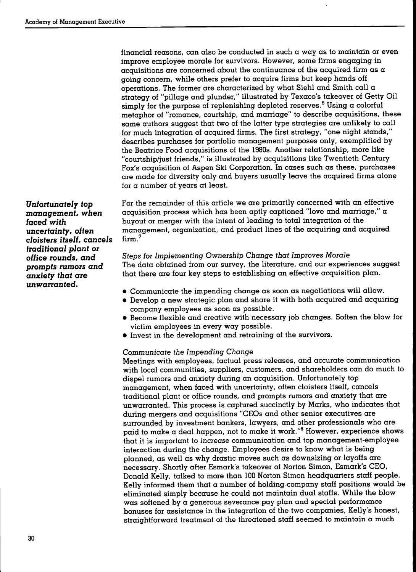financial reasons, can also be conducted in such a way as to maintain or even improve employee morale for survivors. However, some firms engaging in acquisitions are concerned about the continuance of the acquired firm as  $\alpha$ going concern, while others prefer to acquire firms but keep hands off operations. The former are characterized by what Siehl and Smith call a strategy of "pillage and plunder," illustrated by Texaco's takeover of Getty Oil simply for the purpose of replenishing depleted reserves.<sup>6</sup> Using  $\alpha$  colorful metaphor of "romance, courtship, and marriage" to describe acquisitions, these same authors suggest that two of the latter type strategies are unlikely to call for much integration of acquired firms. The first strategy, "one night stands," describes purchases for portfolio management purposes only, exemplified by the Beatrice Food acquisitions of the 1980s. Another relationship, more like "courtship/just friends," is illustrated by acquisitions like Twentieth Century Fox's acquisition of Aspen Ski Corporation. In cases such as these, purchases are made for diversity only and buyers usually leave the acquired firms alone for a number of years at least.

For the remainder of this article we are primarily concerned with an effective acquisition process which has been aptly captioned "love and marriage," a buyout or merger with the intent of leading to total integration of the management, organization, and product lines of the acquiring and acquired firm.<sup>7</sup>

## *Steps for Implementing Ownership Change that Improves Morale* The data obtained from our survey, the literature, and our experiences suggest that there are four key steps to establishing an effective acquisition plan.

- Communicate the impending change as soon as negotiations will allow.
- Develop a new strategic plan and share it with both acquired and acquiring company employees as soon as possible.
- Become flexible and creative with necessary job changes. Soften the blow for victim employees in every way possible.
- Invest in the development and retraining of the survivors.

#### Communicate *the Impending Change*

Meetings with employees, factual press releases, and accurate communication with local communities, suppliers, customers, and shareholders can do much to dispel rumors and anxiety during an acquisition. Unfortunately top management, when faced with uncertainty, often cloisters itself, cancels traditional plant or office rounds, and prompts rumors and anxiety that are unwarranted. This process is captured succinctly by Marks, who indicates that during mergers and acquisitions "CEOs and other senior executives are surrounded by investment bankers, lawyers, and other professionals who are paid to make a deal happen, not to make it work."<sup>8</sup> However, experience shows that it is important to increase communication and top management-employee interaction during the change. Employees desire to know what is being planned, as well as why drastic moves such as downsizing or layoffs are necessary. Shortly after Esmark's takeover of Norton Simon, Esmark's CEO, Donald Kelly, talked to more than 100 Norton Simon headquarters staff people. Kelly informed them that a number of holding-company staff positions would be eliminated simply because he could not maintain dual staffs. While the blow was softened by a generous severance pay plan and special performance bonuses for assistance in the integration of the two companies, Kelly's honest, straightforward treatment of the threatened staff seemed to maintain a much

*Unfortunately top management, when faced with uncertainty, often cloisters itself, cancels traditional plant or office rounds, and prompts rumors* **and anxiefy that are** *unwarranted.*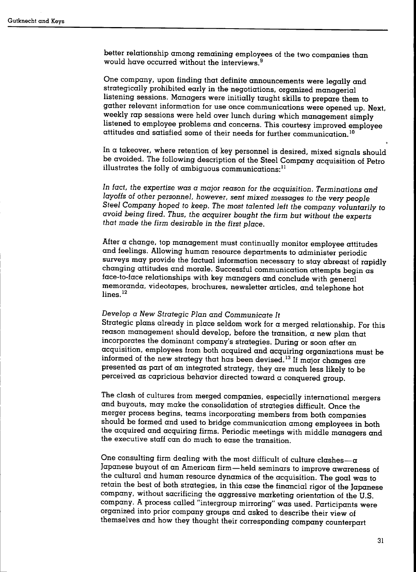better relationship among remaining employees of the two companies than would have occurred without the interviews.<sup>9</sup>

One company, upon finding that definite announcements were legally and strategically prohibited early in the negotiations, organized managerial listening sessions. Managers were initially taught skills to prepare them to gather relevant information for use once communications were opened up. Next, weekly rap sessions were held over lunch during which management simply listened to employee problems and concerns. This courtesy improved employee attitudes and satisfied some of their needs for further communication.<sup>10</sup>

In a takeover, where retention of key personnel is desired, mixed signals should be avoided. The following description of the Steel Company acquisition of Petro illustrates the folly of ambiguous communications: $^{11}$ 

*In fact, the expertise was a major reason for the acquisition. Terminations and layoffs of other personnel, however, sent mixed messages to the very people Steel Company hoped to keep. The most talented left the company voluntarily to avoid being fired. Thus, the acquirer bought the firm but without the experts that made the firm desirable* in *the first place.*

After a change, top management must continually monitor employee attitudes and feelings. Allowing human resource departments to administer periodic surveys may provide the factual information necessary to stay abreast of rapidly changing attitudes and morale. Successful communication attempts begin as face-to-face relationships with key managers and conclude with general memoranda, videotapes, brochures, newsletter articles, and telephone hot lines.<sup>12</sup>

# Deveiop a New Strategic Pian and Communicate *It*

Strategic plans already in place seldom work for a merged relationship. For this reason management should develop, before the transition,  $a$  new plan that incorporates the dominant company's strategies. During or soon after an acquisition, employees from both acquired and acquiring organizations must be informed of the new strategy that has been devised.<sup>13</sup> If major changes are presented as part of an integrated strategy, they are much less likely to be perceived as capricious behavior directed toward a conquered group.

The clash of cultures from merged companies, especially international mergers and buyouts, may make the consolidation of strategies difficult. Once the merger process begins, teams incorporating members from both companies should be formed and used to bridge communication among employees in both the acquired and acquiring firms. Periodic meetings with middle managers and the executive staff can do much to ease the transition.

One consulting firm dealing with the most difficult of culture clashes- $-\alpha$ Japanese buyout of an American firm—held seminars to improve awareness of the cultural and human resource dynamics of the acquisition. The goal was to retain the best of both strategies, in this case the financial rigor of the Japanese company, without sacrificing the aggressive marketing orientation of the U.S. company. A process called "intergroup mirroring" was used. Participants were organized into prior company groups and asked to describe their view of themselves and how they thought their corresponding company counterpart

0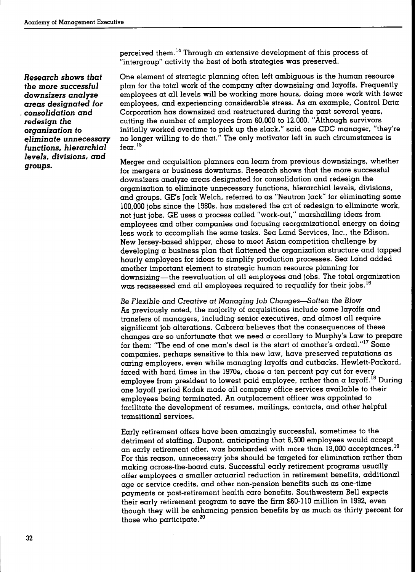*Research shows that the more* **successful** *downsizers analyze areas designated tor consolidation and redesign the organization to eliminate unnecessary functions, hierarchial levels, divisions, and groups.*

perceived them.<sup>14</sup> Through an extensive development of this process of "intergroup" activity the best of both strategies was preserved.

One element of strategic planning often left ambiguous is the human resource plan for the total work of the company after downsizing and layoffs. Frequently employees at all levels will be working more hours, doing more work with fewer employees, and experiencing considerable stress. As an example. Control Data Corporation has downsized and restructured during the past several years, cutting the number of employees from 60,000 to 12,000. "Although survivors initially worked overtime to pick up the slack," said one CDC manager, "they're no longer willing to do that." The only motivator left in such circumstances is fear. 15

Merger and acquisition planners can learn from previous downsizings, whether for mergers or business downturns. Research shows that the more successful downsizers analyze areas designated for consolidation and redesign the organization to eliminate unnecessary functions, hierarchial levels, divisions, and groups. GE's Jack Welch, referred to as "Neutron Jack" for eliminating some 100,000 jobs since the 1980s, has mastered the art of redesign to eliminate work, not just jobs. GE uses a process called "work-out," marshalling ideas from employees and other companies and focusing reorganizational energy on doing less work to accomplish the same tasks. Sea Land Services, Inc., the Edison, New Jersey-based shipper, chose to meet Asian competition challenge by developing a business plan that flattened the organization structure and tapped hourly employees for ideas to simplify production processes. Sea Land added another important element to strategic human resource planning for downsizing—the reevaluation of all employees and jobs. The total organization was reassessed and all employees required to requalify for their jobs.<sup>16</sup>

Be *Flexible and Creative at Managing Job Changes*—*Soften the Blow* As previously noted, the majority of acquisitions include some layoffs and transfers of managers, including senior executives, and almost all require significant job alterations. Cabrera believes that the consequences of these changes are so unfortunate that we need a corollary to Murphy's Law to prepare for them: "The end of one man's deal is the start of another's ordeal."<sup>17</sup> Some companies, perhaps sensitive to this new law, have preserved reputations as caring employers, even while managing layoffs and cutbacks. Hewlett-Packard, faced with hard times in the 1970s, chose  $\alpha$  ten percent pay cut for every employee from president to lowest paid employee, rather than a layoff.  $^{18}$  During one layoff period Kodak made all company office services available to their employees being terminated. An outplacement officer was appointed fo facilitate the development of resumes, mailings, contacts, and other helpful transitional services.

Early retirement offers have been amazingly successful, sometimes to the detriment of staffing. Dupont, anticipating that 6,500 employees would accept an early retirement offer, was bombarded with more than 13,000 acceptances.<sup>19</sup> For this reason, unnecessary jobs should be targeted for elimination rather than making across-the-board cuts. Successful early retirement programs usually offer employees a smaller actuarial reduction in retirement benefits, additional age or service credits, and other non-pension benefits such as one-time payments or post-retirement health care benefits. Southwestern Bell expects their early retirement program to save the firm \$60-110 million in 1992, even though they will be enhancing pension benefits by as much as thirty percent for those who participate. $^{20}$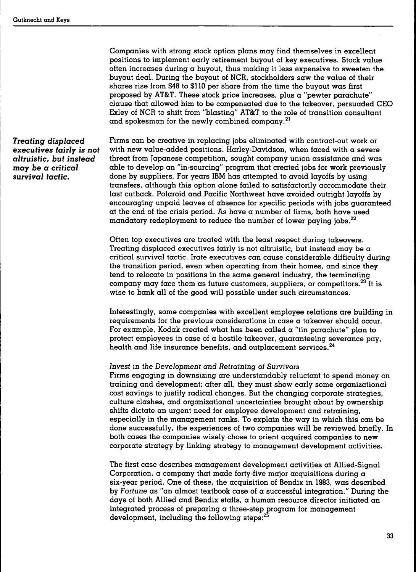Companies with strong stock option plans may find themselves in excellent positions to implement early retirement buyout of key executives. Stock value often increases during a buyout, thus making it less expensive to sweeten the buyout deal. During the buyout of NCR, stockholders saw the value of their shares rise from \$48 to \$110 per share from the time the buyout was first proposed by AT&T. These stock price increases, plus  $\alpha$  "pewter parachute" clause that allowed him to be compensated due to the takeover, persuaded CEO Exley of NCR to shift from "blasting" AT&T to the role of transition consultant and spokesman for the newly combined company.<sup>21</sup>

**Treating** *displaced executives iairly is not altruistic, but instead may be a critical survival tactic.*

Firms can be creative in replacing jobs eliminated with contract-out work or with new value-added positions. Harley-Davidson, when faced with a severe threat from Japanese competition, sought company union assistance and was able to develop an "in-sourcing" program that created jobs for work previously done by suppliers. For years IBM has attempted to avoid layoffs by using transfers, although this option alone failed to satisfactorily accommodate their last cutback. Polaroid and Pacific Northwest have avoided outright layoffs by encouraging unpaid leaves of absence for specific periods with jobs guaranteed at the end of the crisis period. As have a number of firms, both have used mandatory redeployment to reduce the number of lower paying jobs. $^{22}$ 

Often top executives are treated with the least respect during takeovers. Treating displaced executives fairly is not altruistic, but instead may be  $\alpha$ critical survival tactic. Irate executives can cause considerable difficulty during the transition period, even when operating from their homes, and since they tend to relocate in positions in the same general industry, the terminating company may face them as future customers, suppliers, or competitors. $^{23}$  It is wise to bank all of the good will possible under such circumstances.

Interestingly, some companies with excellent employee relations are building in requirements for the previous considerations in case  $\alpha$  takeover should occur. For example, Kodak created what has been called  $\alpha$  "tin parachute" plan to protect employees in case of a hostile takeover, guaranteeing severance pay, health and life insurance benefits, and outplacement services.<sup>24</sup>

#### *Invest in the Development and Retiaining* of Survivors

Firms engaging in downsizing are understandably reluctant to spend money on training and development; after all, they must show early some organizational cost savings to justify radical changes. But the changing corporate strategies, culture clashes, and organizational uncertainties brought about by ownership shifts dictate an urgent need for employee development and retraining, especially in the management ranks. To explain the way in which this can be done successfully, the experiences of two companies will be reviewed briefly. In both cases the companies wisely chose to orient acquired companies to new corporate strategy by linking strategy to management development activities.

The first case describes management development activities at Allied-Signal Corporation, a company that made forty-five major acquisitions during a six-year period. One of these, the acquisition of Bendix in 1983, was described by *Fortune* as "an almost textbook case of a successful integration." During the days of both Allied and Bendix staffs, a human resource director initiated an integrated process of preparing a three-step program for management development, including the following steps:<sup>25</sup>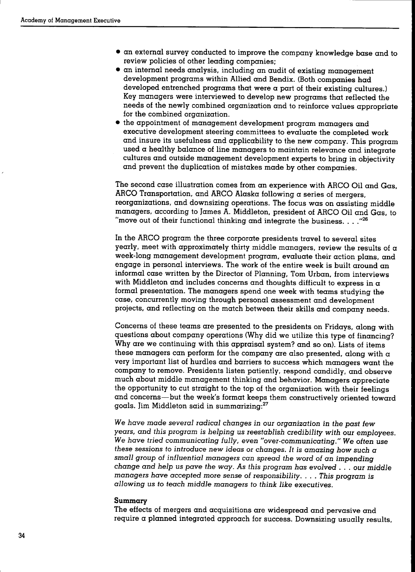- an external survey conducted to improve the company knowledge base and to review policies of other leading companies;
- an internal needs analysis, including an audit of existing management development programs within Allied and Bendix. (Both companies had developed entrenched programs that were a part of their existing cultures.) Key managers were interviewed to develop new programs that reflected the needs of the newly combined organization and to reinforce values appropriate for the combined organization.
- the appointment of management development program managers and executive development steering committees to evaluate the completed work and insure its usefulness and applicability to the new company. This program used  $\alpha$  healthy balance of line managers to maintain relevance and integrate cultures and outside management development experts to bring in objectivity and prevent the duplication of mistakes made by other companies.

The second case illustration comes from an experience with ARCO Oil and Gas, ARCO Transportation, and ARCO Alaska following a series of mergers, reorganizations, and downsizing operations. The focus was on assisting middle managers, according to James A. Middleton, president of ARCO Oil and Gas, to "move out of their functional thinking and integrate the business. . . .<sup>"26</sup>

In the ARCO program the three corporate presidents travel to several sites yearly, meet with approximately thirty middle managers, review the results of  $\alpha$ week-long management development program, evaluate their action plans, and engage in personal interviews. The work of the entire week is built around an informal case written by the Director of Planning, Tom Urban, from interviews with Middleton and includes concerns and thoughts difficult to express in  $\alpha$ formal presentation. The managers spend one week with teams studying the case, concurrently moving through personal assessment and development projects, and reflecting on the match between their skills and company needs.

Concerns of these teams are presented to the presidents on Fridays, along with questions about company operations (Why did we utilize this type of financing? Why are we continuing with this appraisal system? and so on). Lists of items these managers can perform for the company are also presented, along with  $\alpha$ very important list of hurdles and barriers to success which managers want the company to remove. Presidents listen patiently, respond candidly, and observe much about middle management thinking and behavior. Managers appreciate the opportunity to cut straight to the top of the organization with their feelings and concerns—but the week's format keeps them constructively oriented toward goals. Jim Middleton said in summarizing: $^{27}$ 

We *have made several ladical changes in* our organization in *the past few years, and this program* is *helping us reestablish credibility with our employees. We have tried communicating fully, even "over-communicating." We often use these sessions to introduce new ideas or changes. It is amazing how such a small group of influential managers can spread the word of an impending change and help us pave the way. As this program has evolved . . . our middle managers have accepted more sense of responsibility. . . . This program is allowing us to teach middle managers to think like executives.*

#### **Summary**

The effects of mergers and acquisitions are widespread and pervasive and require a planned integrated approach for success. Downsizing usually results.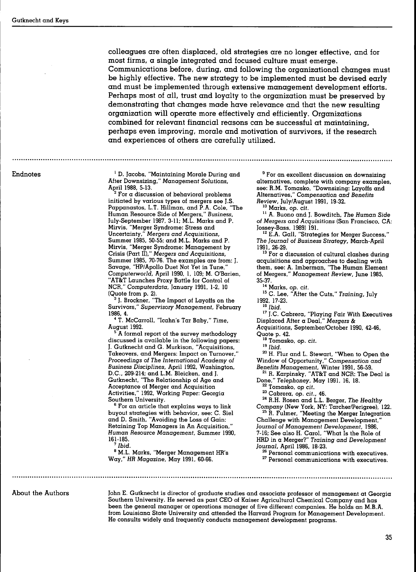colleagues are often displaced, old strategies are no longer effective, and for most firms, a single integrated and focused culture must emerge. Communications before, during, and following the organizational changes must be highly effective. The new strategy to be implemented must be devised early and must be implemented through extensive management development efforts. Perhaps most of all, trust and loyalty to the organization must be preserved by demonstrating that changes made have relevance and that the new resulting organization will operate more effectively and efficiently. Organizations combined for relevant financial reasons can be successful at maintaining, perhaps even improving, morale and motivation of survivors, if the research and experiences of others are carefully utilized.

Endnotes <sup>1</sup> D. Jacobs, "Maintaining Morale During and After Downsizing," Managemenf *Solutions,* April 1988, 5-13.

> For  $\alpha$  discussion of behavioral problems initiated by various types of mergers see J.S. Pappanastos, L.T. Hillman, and P.A. Cole, "The Human Resource Side of Mergers," Business, July-September 1987, 3-11; M.L. Marks and P. Mirvis, "Merger Syndrome: Stress and **Uncertainty,"** *Mergers and Acquisitions,* Summer 1985, 50-55; and M.L. Marks and P. Mirvis, "Merger Syndrome: Management by Crisis (Part ID," *Mergers and* Acquisitions, Summer 1985, 70-76. The examples are from: J. Savage, "HP/Apollo Duet Not Yet in Tune," *Computerworld,* April 1990, 1, 109; M. O'Barien, "AT&T Launches Proxy Battle for Control of NCR," Computerdata, January 1991, 1-2, 10 (Quote from p. 2).

<sup>3</sup> J. Brockner, "The Impact of Layoffs on the **Survivors,"** *Supervisory Management,* **February** 1986, 4.

\* T. McCarroll, "Icahn's Tar Baby," Time, August 1992.

' A formal report of the survey methodology discussed is available in the following papers: J. Gutknecht and G. Murkison, "Acquisitions, Takeovers, and Mergers: Impact on Turnover," *Proceedings of The International Academy of Business Disciplines,* April 1992, Washington, D.C., 209-214; and L.M. Bleicken, and J. Gutknecht, "The Relationship of Age and Acceptance of Merger and Acquisition Activities," 1992, Working Paper: Georgia Southern University.

 $<sup>6</sup>$  For an article that explains ways to link</sup> buyout strategies with behavior, see: C. Siel and D. Smith, "Avoiding the Loss of Gain: Retaining Top Managers in An Acquisition," Human Resource Management, Summer 1990, 161-185.

**'** *Ibid.*

° M.L. Marks, "Merger Management HR's Way," *HR Magazine,* May 1991, 60-66.

 $<sup>9</sup>$  For an excellent discussion on downsizing</sup> alternatives, complete with company examples, see: R.M. Tomasko, "Downsizing: Layoffs and **Alternatives,"** *Compensation and Benefits Review,* July/August 1991, 19-32.

<sup>10</sup> Marks, op. cit.

<sup>11</sup> A. Buono and J. Bowditch, The Human Side *of Mergers and Acquisitions* **(San Francisco, CA:** Jossey-Bass, 1989) 191.

<sup>12</sup> E.A. Gall, "Strategies for Merger Success," *The Journal of Business Strategy,* **March-April** 1991, 26-29.

 $^{13}$  For a discussion of cultural clashes during acquisitions and approaches to dealing with them, see: A. Imberman, "The Human Element of Mergers," *Management Review,* June 1985, 35-37.

<sup>14</sup> Marks, op. cit.

<sup>15</sup> C. Lee, "After the Cuts," Training, July 1992, 17-23.

**'^** *Ibid.*

*"* J.C. Cabrera, "Playing Fair With Executives Displaced After a Deal," *Mergers* & Acquisitions, September/October 1990, 42-46,

Quote p. 42.

<sup>18</sup> Tomasko, op. cit. **'=** *Ibid.*

<sup>20</sup> H. Flur and L. Stewart, "When to Open the Window of Opportunity," Compensation and *Benefits Management,* **Winter 1991, 56-59.**

*^'* R. Karpinsky, "AT&T and NCR: The Deal is Done," Teiephoney, May 1991, 16, 18.

<sup>22</sup> Tomasko, op cit.

*^* Cabrera, op. cif., 46.

*^\** R.H. Rosen and L.L. Berger, *The Healthy Company* (New York, NY: Tarcher/Perigree), 122.  $^{25}$  R. Fulmer, "Meeting the Merger Integration

Challenge with Management Development," *Journal of Management Development,* **1986,** 7-16; See also H. Carol, "What Is the Role of HRD in a Merger?" Training and Development *Journal,* April 1986, 18-23.

<sup>26</sup> Personal communications with executives. <sup>27</sup> Personal communications with executives.

About the Authors John E. Gutknecht is director of graduate studies and associate professor of management at Georgia Southern University. He served as past CEQ of Kaiser Agricultural Chemical Company and has been the general manager or operations manager of five different companies. He holds an M.B.A. from Louisiana State University and attended the Harvard Program for Management Development. He consults widely and frequently conducts management development programs.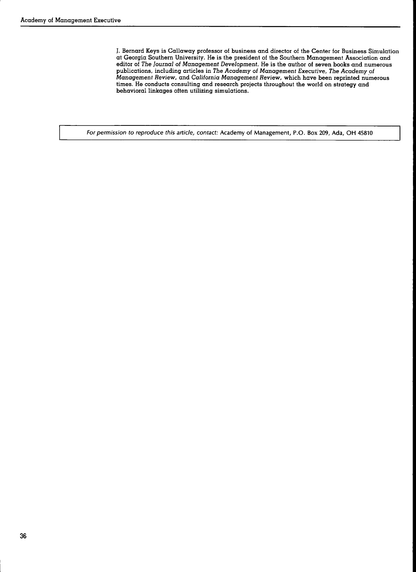J. Bernard Keys is Callaway professor of business and director of the Center for Business Simulation at Georgia Southern University. He is the president of the Southern Management Association and editor of *The Journal of Management Development.* He is the author of seven books and numerous publications, including articles in *The Academy of Management Executive, The Academy of Management Review,* and California *Management Review,* which have been reprinted numerous times. He conducts consulting and research projects throughout the world on strategy and behavioral linkages often utilizing simulations.

For permission to reproduce this article, contact: Academy of Management, P.O. Box 209, Ada, OH 45810